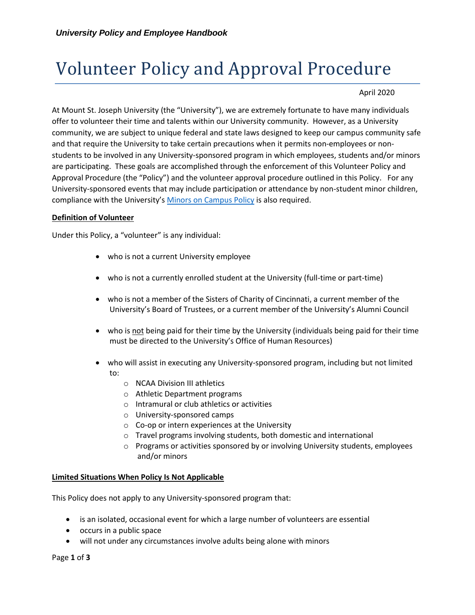# Volunteer Policy and Approval Procedure

## April 2020

At Mount St. Joseph University (the "University"), we are extremely fortunate to have many individuals offer to volunteer their time and talents within our University community. However, as a University community, we are subject to unique federal and state laws designed to keep our campus community safe and that require the University to take certain precautions when it permits non-employees or nonstudents to be involved in any University-sponsored program in which employees, students and/or minors are participating. These goals are accomplished through the enforcement of this Volunteer Policy and Approval Procedure (the "Policy") and the volunteer approval procedure outlined in this Policy. For any University-sponsored events that may include participation or attendance by non-student minor children, compliance with the University's [Minors on Campus Policy](https://mymount.msj.edu/ICS/icsfs/Protection_of_Minors_Policy_and_Procedures.pdf?target=22f6b9ea-f74c-4d29-9319-8e11aadb12e1) is also required.

### **Definition of Volunteer**

Under this Policy, a "volunteer" is any individual:

- who is not a current University employee
- who is not a currently enrolled student at the University (full-time or part-time)
- who is not a member of the Sisters of Charity of Cincinnati, a current member of the University's Board of Trustees, or a current member of the University's Alumni Council
- who is not being paid for their time by the University (individuals being paid for their time must be directed to the University's Office of Human Resources)
- who will assist in executing any University-sponsored program, including but not limited to:
	- o NCAA Division III athletics
	- o Athletic Department programs
	- o Intramural or club athletics or activities
	- o University-sponsored camps
	- o Co-op or intern experiences at the University
	- o Travel programs involving students, both domestic and international
	- $\circ$  Programs or activities sponsored by or involving University students, employees and/or minors

#### **Limited Situations When Policy Is Not Applicable**

This Policy does not apply to any University-sponsored program that:

- is an isolated, occasional event for which a large number of volunteers are essential
- occurs in a public space
- will not under any circumstances involve adults being alone with minors

Page **1** of **3**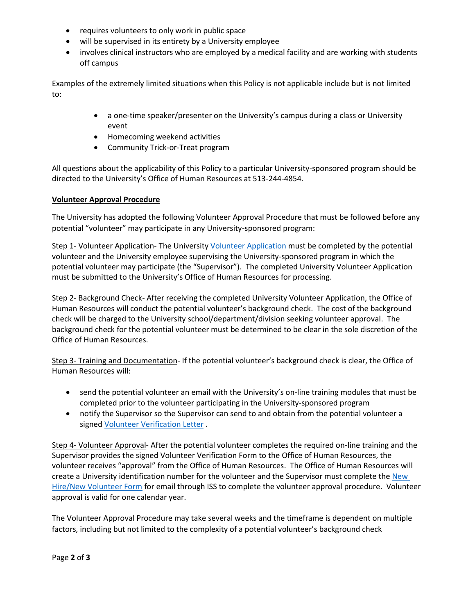- requires volunteers to only work in public space
- will be supervised in its entirety by a University employee
- involves clinical instructors who are employed by a medical facility and are working with students off campus

Examples of the extremely limited situations when this Policy is not applicable include but is not limited to:

- a one-time speaker/presenter on the University's campus during a class or University event
- Homecoming weekend activities
- Community Trick-or-Treat program

All questions about the applicability of this Policy to a particular University-sponsored program should be directed to the University's Office of Human Resources at 513-244-4854.

### **Volunteer Approval Procedure**

The University has adopted the following Volunteer Approval Procedure that must be followed before any potential "volunteer" may participate in any University-sponsored program:

Step 1- Volunteer Application- The University [Volunteer Application](https://mymount.msj.edu/ICS/icsfs/Volunteer_Application_Fillable.pdf?target=0f7dfce9-958b-49df-b890-21d21b9b23eb) must be completed by the potential volunteer and the University employee supervising the University-sponsored program in which the potential volunteer may participate (the "Supervisor"). The completed University Volunteer Application must be submitted to the University's Office of Human Resources for processing.

Step 2- Background Check- After receiving the completed University Volunteer Application, the Office of Human Resources will conduct the potential volunteer's background check. The cost of the background check will be charged to the University school/department/division seeking volunteer approval. The background check for the potential volunteer must be determined to be clear in the sole discretion of the Office of Human Resources.

Step 3- Training and Documentation- If the potential volunteer's background check is clear, the Office of Human Resources will:

- send the potential volunteer an email with the University's on-line training modules that must be completed prior to the volunteer participating in the University-sponsored program
- notify the Supervisor so the Supervisor can send to and obtain from the potential volunteer a signe[d Volunteer Verification Letter](https://mymount.msj.edu/ICS/Info_and_Policies/Employee_Information/Resources_for_Managers.jnz?portlet=Handouts) .

Step 4- Volunteer Approval- After the potential volunteer completes the required on-line training and the Supervisor provides the signed Volunteer Verification Form to the Office of Human Resources, the volunteer receives "approval" from the Office of Human Resources. The Office of Human Resources will create a University identification number for the volunteer and the Supervisor must complete th[e New](https://mymount.msj.edu/ICS/icsfs/New_Hire_Process_Updated_8.30.17.pdf?target=f83cc4aa-c5fb-4c78-8fb7-39742777e027)  [Hire/New Volunteer Form](https://mymount.msj.edu/ICS/icsfs/New_Hire_Process_Updated_8.30.17.pdf?target=f83cc4aa-c5fb-4c78-8fb7-39742777e027) for email through ISS to complete the volunteer approval procedure. Volunteer approval is valid for one calendar year.

The Volunteer Approval Procedure may take several weeks and the timeframe is dependent on multiple factors, including but not limited to the complexity of a potential volunteer's background check